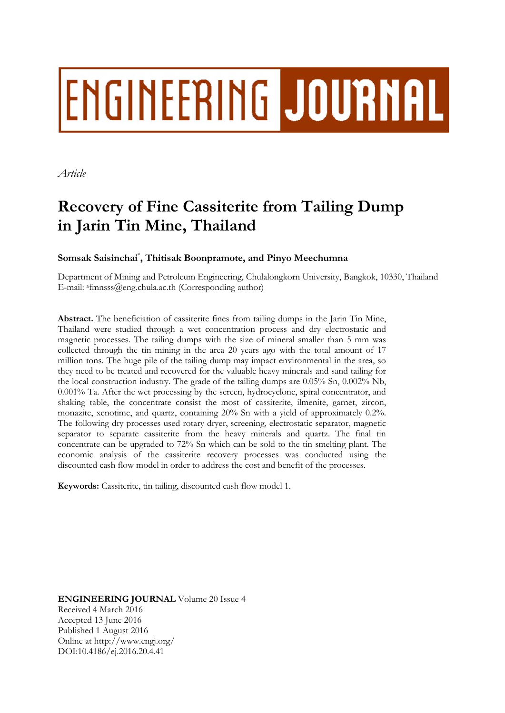# ENGINEERING JOURNAL

*Article* 

# **Recovery of Fine Cassiterite from Tailing Dump in Jarin Tin Mine, Thailand**

# **Somsak Saisinchai**\* **, Thitisak Boonpramote, and Pinyo Meechumna**

Department of Mining and Petroleum Engineering, Chulalongkorn University, Bangkok, 10330, Thailand E-mail: afmnsss@eng.chula.ac.th (Corresponding author)

**Abstract.** The beneficiation of cassiterite fines from tailing dumps in the Jarin Tin Mine, Thailand were studied through a wet concentration process and dry electrostatic and magnetic processes. The tailing dumps with the size of mineral smaller than 5 mm was collected through the tin mining in the area 20 years ago with the total amount of 17 million tons. The huge pile of the tailing dump may impact environmental in the area, so they need to be treated and recovered for the valuable heavy minerals and sand tailing for the local construction industry. The grade of the tailing dumps are 0.05% Sn, 0.002% Nb, 0.001% Ta. After the wet processing by the screen, hydrocyclone, spiral concentrator, and shaking table, the concentrate consist the most of cassiterite, ilmenite, garnet, zircon, monazite, xenotime, and quartz, containing 20% Sn with a yield of approximately 0.2%. The following dry processes used rotary dryer, screening, electrostatic separator, magnetic separator to separate cassiterite from the heavy minerals and quartz. The final tin concentrate can be upgraded to 72% Sn which can be sold to the tin smelting plant. The economic analysis of the cassiterite recovery processes was conducted using the discounted cash flow model in order to address the cost and benefit of the processes.

**Keywords:** Cassiterite, tin tailing, discounted cash flow model 1.

**ENGINEERING JOURNAL** Volume 20 Issue 4 Received 4 March 2016 Accepted 13 June 2016 Published 1 August 2016 Online at http://www.engj.org/ DOI:10.4186/ej.2016.20.4.41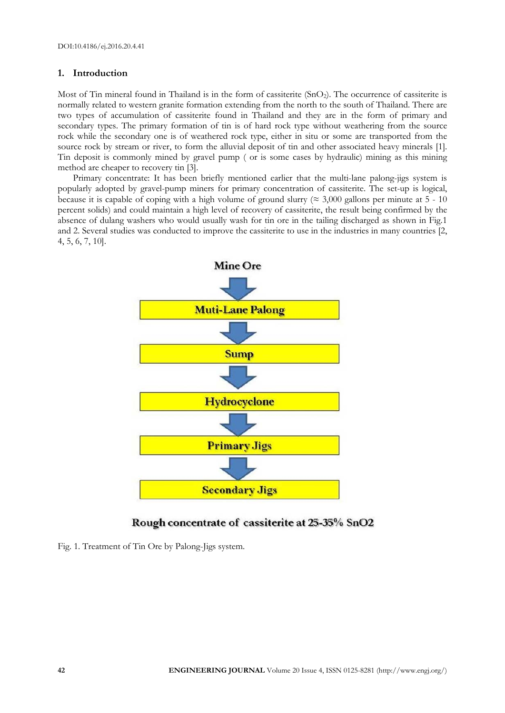### **1. Introduction**

Most of Tin mineral found in Thailand is in the form of cassiterite (SnO2). The occurrence of cassiterite is normally related to western granite formation extending from the north to the south of Thailand. There are two types of accumulation of cassiterite found in Thailand and they are in the form of primary and secondary types. The primary formation of tin is of hard rock type without weathering from the source rock while the secondary one is of weathered rock type, either in situ or some are transported from the source rock by stream or river, to form the alluvial deposit of tin and other associated heavy minerals [1]. Tin deposit is commonly mined by gravel pump ( or is some cases by hydraulic) mining as this mining method are cheaper to recovery tin [3].

Primary concentrate: It has been briefly mentioned earlier that the multi-lane palong-jigs system is popularly adopted by gravel-pump miners for primary concentration of cassiterite. The set-up is logical, because it is capable of coping with a high volume of ground slurry ( $\approx 3,000$  gallons per minute at 5 - 10 percent solids) and could maintain a high level of recovery of cassiterite, the result being confirmed by the absence of dulang washers who would usually wash for tin ore in the tailing discharged as shown in Fig.1 and 2. Several studies was conducted to improve the cassiterite to use in the industries in many countries [2, 4, 5, 6, 7, 10].



# Rough concentrate of cassiterite at 25-35% SnO2

Fig. 1. Treatment of Tin Ore by Palong-Jigs system.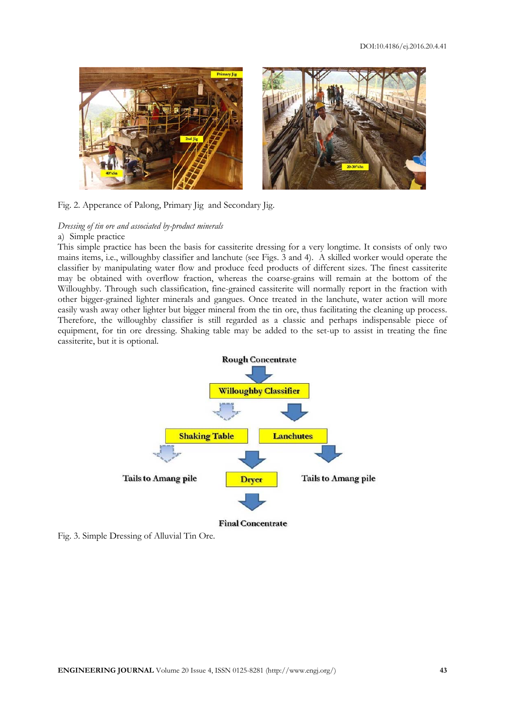



#### Fig. 2. Apperance of Palong, Primary Jig and Secondary Jig.

# *Dressing of tin ore and associated by-product minerals*

## a) Simple practice

This simple practice has been the basis for cassiterite dressing for a very longtime. It consists of only two mains items, i.e., willoughby classifier and lanchute (see Figs. 3 and 4). A skilled worker would operate the classifier by manipulating water flow and produce feed products of different sizes. The finest cassiterite may be obtained with overflow fraction, whereas the coarse-grains will remain at the bottom of the Willoughby. Through such classification, fine-grained cassiterite will normally report in the fraction with other bigger-grained lighter minerals and gangues. Once treated in the lanchute, water action will more easily wash away other lighter but bigger mineral from the tin ore, thus facilitating the cleaning up process. Therefore, the willoughby classifier is still regarded as a classic and perhaps indispensable piece of equipment, for tin ore dressing. Shaking table may be added to the set-up to assist in treating the fine cassiterite, but it is optional.



Fig. 3. Simple Dressing of Alluvial Tin Ore.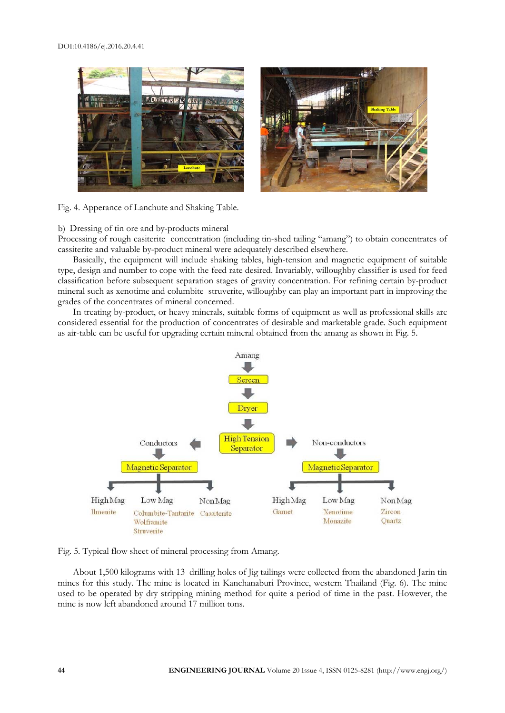#### DOI:10.4186/ej.2016.20.4.41



Fig. 4. Apperance of Lanchute and Shaking Table.

#### b) Dressing of tin ore and by-products mineral

Processing of rough casiterite concentration (including tin-shed tailing "amang") to obtain concentrates of cassiterite and valuable by-product mineral were adequately described elsewhere.

Basically, the equipment will include shaking tables, high-tension and magnetic equipment of suitable type, design and number to cope with the feed rate desired. Invariably, willoughby classifier is used for feed classification before subsequent separation stages of gravity concentration. For refining certain by-product mineral such as xenotime and columbite struverite, willoughby can play an important part in improving the grades of the concentrates of mineral concerned.

In treating by-product, or heavy minerals, suitable forms of equipment as well as professional skills are considered essential for the production of concentrates of desirable and marketable grade. Such equipment as air-table can be useful for upgrading certain mineral obtained from the amang as shown in Fig. 5.



Fig. 5. Typical flow sheet of mineral processing from Amang.

About 1,500 kilograms with 13 drilling holes of Jig tailings were collected from the abandoned Jarin tin mines for this study. The mine is located in Kanchanaburi Province, western Thailand (Fig. 6). The mine used to be operated by dry stripping mining method for quite a period of time in the past. However, the mine is now left abandoned around 17 million tons.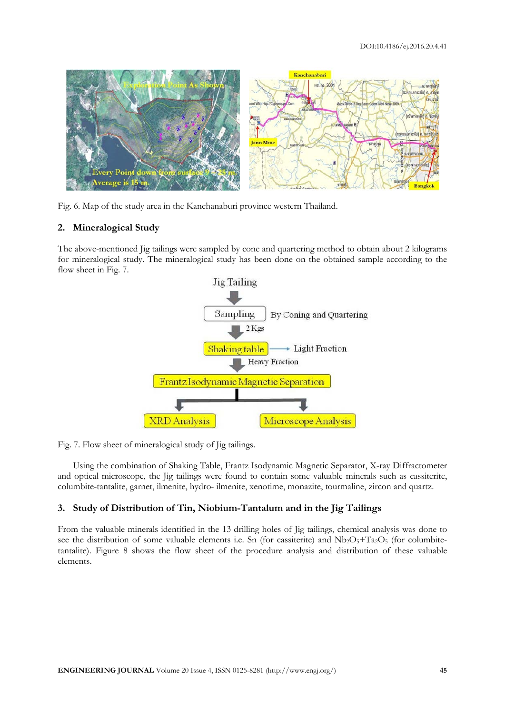

Fig. 6. Map of the study area in the Kanchanaburi province western Thailand.

#### **2. Mineralogical Study**

The above-mentioned Jig tailings were sampled by cone and quartering method to obtain about 2 kilograms for mineralogical study. The mineralogical study has been done on the obtained sample according to the flow sheet in Fig. 7.



Fig. 7. Flow sheet of mineralogical study of Jig tailings.

Using the combination of Shaking Table, Frantz Isodynamic Magnetic Separator, X-ray Diffractometer and optical microscope, the Jig tailings were found to contain some valuable minerals such as cassiterite, columbite-tantalite, garnet, ilmenite, hydro- ilmenite, xenotime, monazite, tourmaline, zircon and quartz.

#### **3. Study of Distribution of Tin, Niobium-Tantalum and in the Jig Tailings**

From the valuable minerals identified in the 13 drilling holes of Jig tailings, chemical analysis was done to see the distribution of some valuable elements i.e. Sn (for cassiterite) and  $Nb<sub>2</sub>O<sub>5</sub>+Ta<sub>2</sub>O<sub>5</sub>$  (for columbitetantalite). Figure 8 shows the flow sheet of the procedure analysis and distribution of these valuable elements.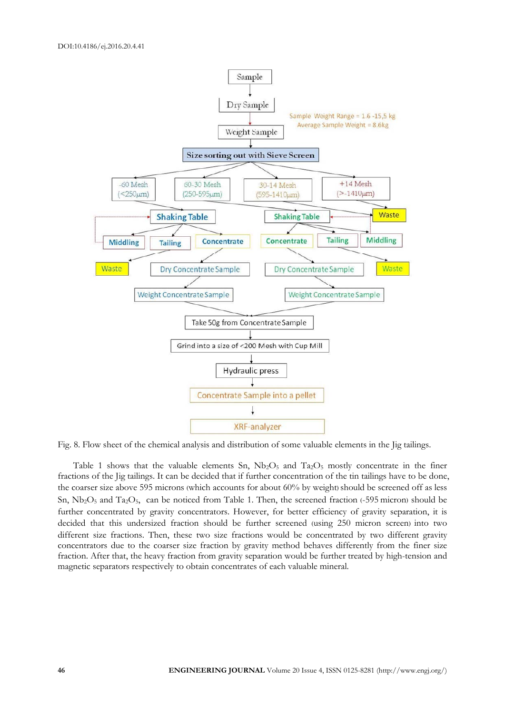

Fig. 8. Flow sheet of the chemical analysis and distribution of some valuable elements in the Jig tailings.

Table 1 shows that the valuable elements Sn,  $Nb_2O_5$  and  $Ta_2O_5$  mostly concentrate in the finer fractions of the Jig tailings. It can be decided that if further concentration of the tin tailings have to be done, the coarser size above 595 microns (which accounts for about 60% by weight) should be screened off as less Sn,  $Nb<sub>2</sub>O<sub>5</sub>$  and Ta<sub>2</sub>O<sub>5</sub>, can be noticed from Table 1. Then, the screened fraction (-595 micron) should be further concentrated by gravity concentrators. However, for better efficiency of gravity separation, it is decided that this undersized fraction should be further screened (using 250 micron screen) into two different size fractions. Then, these two size fractions would be concentrated by two different gravity concentrators due to the coarser size fraction by gravity method behaves differently from the finer size fraction. After that, the heavy fraction from gravity separation would be further treated by high-tension and magnetic separators respectively to obtain concentrates of each valuable mineral.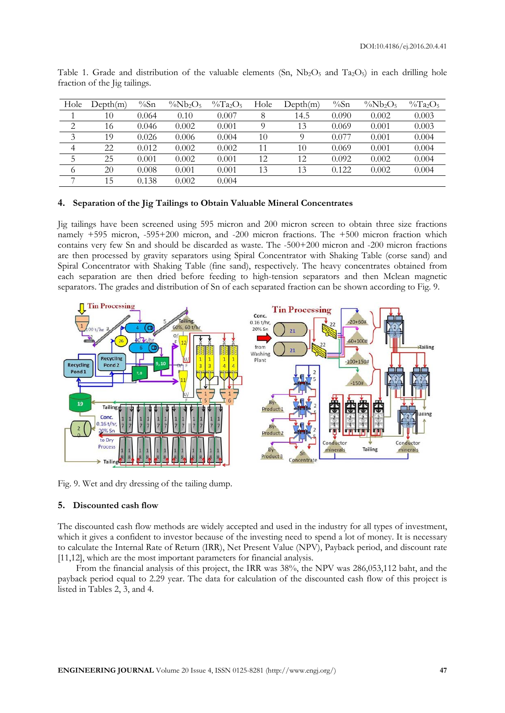| Hole           | Depth(m) | $\%$ Sn | $\%Nb_2O_5$ | $\%Ta_2O_5$ | Hole | Depth(m) | $\%$ Sn | $\%Nb_2O_5$ | $\%Ta_2O_5$ |
|----------------|----------|---------|-------------|-------------|------|----------|---------|-------------|-------------|
|                | 10       | 0.064   | 0.10        | 0.007       |      | 14.5     | 0.090   | 0.002       | 0.003       |
| $\overline{2}$ | 16       | 0.046   | 0.002       | 0.001       |      | 13       | 0.069   | 0.001       | 0.003       |
| 3              | 19       | 0.026   | 0.006       | 0.004       | 10   |          | 0.077   | 0.001       | 0.004       |
| $\overline{4}$ | 22       | 0.012   | 0.002       | 0.002       | 11   | 10       | 0.069   | 0.001       | 0.004       |
|                | 25       | 0.001   | 0.002       | 0.001       | 12   | 12       | 0.092   | 0.002       | 0.004       |
| 6              | 20       | 0.008   | 0.001       | 0.001       | 13   | 13       | 0.122   | 0.002       | 0.004       |
| $\overline{ }$ | 15       | 0.138   | 0.002       | 0.004       |      |          |         |             |             |

Table 1. Grade and distribution of the valuable elements (Sn,  $Nb<sub>2</sub>O<sub>5</sub>$  and Ta<sub>2</sub>O<sub>5</sub>) in each drilling hole fraction of the Jig tailings.

#### **4. Separation of the Jig Tailings to Obtain Valuable Mineral Concentrates**

Jig tailings have been screened using 595 micron and 200 micron screen to obtain three size fractions namely +595 micron, -595+200 micron, and -200 micron fractions. The +500 micron fraction which contains very few Sn and should be discarded as waste. The -500+200 micron and -200 micron fractions are then processed by gravity separators using Spiral Concentrator with Shaking Table (corse sand) and Spiral Concentrator with Shaking Table (fine sand), respectively. The heavy concentrates obtained from each separation are then dried before feeding to high-tension separators and then Mclean magnetic separators. The grades and distribution of Sn of each separated fraction can be shown according to Fig. 9.



Fig. 9. Wet and dry dressing of the tailing dump.

#### **5. Discounted cash flow**

The discounted cash flow methods are widely accepted and used in the industry for all types of investment, which it gives a confident to investor because of the investing need to spend a lot of money. It is necessary to calculate the Internal Rate of Return (IRR), Net Present Value (NPV), Payback period, and discount rate [11,12], which are the most important parameters for financial analysis.

From the financial analysis of this project, the IRR was 38%, the NPV was 286,053,112 baht, and the payback period equal to 2.29 year. The data for calculation of the discounted cash flow of this project is listed in Tables 2, 3, and 4.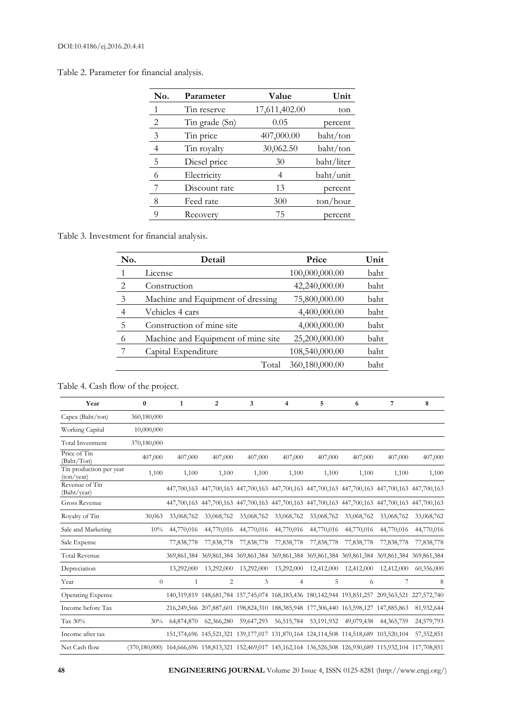Table 2. Parameter for financial analysis.

| No.          | Parameter      | Value         | Unit              |
|--------------|----------------|---------------|-------------------|
| $\mathbf{1}$ | Tin reserve    | 17,611,402.00 | ton               |
| 2            | Tin grade (Sn) | 0.05          | percent           |
| -3           | Tin price      | 407,000.00    | baht/ton          |
| 4            | Tin royalty    | 30,062.50     | baht/ton          |
| 5            | Diesel price   | 30            | baht/liter        |
| 6            | Electricity    | 4             | baht/unit         |
|              | Discount rate  | 13            | percent           |
| 8            | Feed rate      | 300           | $\text{ton/hour}$ |
| 9            | Recovery       | 75            | percent           |

# Table 3. Investment for financial analysis.

| No.            | Detail                             | Price          | Unit |
|----------------|------------------------------------|----------------|------|
|                | License                            | 100,000,000.00 | baht |
| 2              | Construction                       | 42,240,000.00  | baht |
| 3              | Machine and Equipment of dressing  | 75,800,000.00  | baht |
| $\overline{4}$ | Vehicles 4 cars                    | 4,400,000.00   | baht |
| 5              | Construction of mine site          | 4,000,000.00   | baht |
| 6              | Machine and Equipment of mine site | 25,200,000.00  | baht |
|                | Capital Expenditure                | 108,540,000.00 | baht |
|                | Total                              | 360,180,000.00 | baht |

# Table 4. Cash flow of the project.

| Year                                  | $\bf{0}$                                                                                                      | $\mathbf{1}$ | $\overline{2}$ | 3          | 4                                                                                   | 5          | 6          | 7                                                                                               | 8           |
|---------------------------------------|---------------------------------------------------------------------------------------------------------------|--------------|----------------|------------|-------------------------------------------------------------------------------------|------------|------------|-------------------------------------------------------------------------------------------------|-------------|
| Capex (Baht/ton)                      | 360,180,000                                                                                                   |              |                |            |                                                                                     |            |            |                                                                                                 |             |
| Working Capital                       | 10,000,000                                                                                                    |              |                |            |                                                                                     |            |            |                                                                                                 |             |
| <b>Total Investment</b>               | 370,180,000                                                                                                   |              |                |            |                                                                                     |            |            |                                                                                                 |             |
| Price of Tin<br>(Baht/Ton)            | 407,000                                                                                                       | 407,000      | 407,000        | 407,000    | 407,000                                                                             | 407,000    | 407,000    | 407,000                                                                                         | 407,000     |
| Tin production per year<br>(ton/year) | 1,100                                                                                                         | 1,100        | 1,100          | 1,100      | 1,100                                                                               | 1,100      | 1,100      | 1,100                                                                                           | 1,100       |
| Revenue of Tin<br>(Baht/year)         |                                                                                                               |              |                |            |                                                                                     |            |            | 447,700,163 447,700,163 447,700,163 447,700,163 447,700,163 447,700,163 447,700,163 447,700,163 |             |
| Gross Revenue                         |                                                                                                               |              |                |            |                                                                                     |            |            | 447,700,163 447,700,163 447,700,163 447,700,163 447,700,163 447,700,163 447,700,163 447,700,163 |             |
| Royalty of Tin                        | 30,063                                                                                                        | 33,068,762   | 33,068,762     | 33,068,762 | 33,068,762                                                                          | 33,068,762 | 33,068,762 | 33,068,762                                                                                      | 33,068,762  |
| Sale and Marketing                    | 10%                                                                                                           | 44,770,016   | 44,770,016     | 44,770,016 | 44,770,016                                                                          | 44,770,016 | 44,770,016 | 44,770,016                                                                                      | 44,770,016  |
| Sale Expense                          |                                                                                                               | 77,838,778   | 77,838,778     | 77,838,778 | 77,838,778                                                                          | 77,838,778 | 77,838,778 | 77,838,778                                                                                      | 77,838,778  |
| <b>Total Revenue</b>                  |                                                                                                               |              |                |            |                                                                                     |            |            | 369,861,384 369,861,384 369,861,384 369,861,384 369,861,384 369,861,384 369,861,384 369,861,384 |             |
| Depreciation                          |                                                                                                               | 13,292,000   | 13,292,000     | 13,292,000 | 13,292,000                                                                          | 12,412,000 | 12,412,000 | 12,412,000                                                                                      | 60,356,000  |
| Year                                  | $\theta$                                                                                                      | $\mathbf{1}$ | 2              | 3          | 4                                                                                   | 5          | 6          | 7                                                                                               | 8           |
| Operating Expense                     |                                                                                                               |              |                |            |                                                                                     |            |            | 140,319,819 148,681,784 157,745,074 168,183,436 180,142,944 193,851,257 209,563,521             | 227,572,740 |
| Income before Tax                     |                                                                                                               |              |                |            | 216,249,566 207,887,601 198,824,310 188,385,948 177,306,440 163,598,127 147,885,863 |            |            |                                                                                                 | 81,932,644  |
| Tax 30%                               | 30%                                                                                                           | 64,874,870   | 62,366,280     | 59,647,293 | 56, 515, 784                                                                        | 53,191,932 | 49,079,438 | 44, 365, 759                                                                                    | 24,579,793  |
| Income after tax                      |                                                                                                               |              |                |            | 151,374,696 145,521,321 139,177,017 131,870,164 124,114,508 114,518,689 103,520,104 |            |            |                                                                                                 | 57,352,851  |
| Net Cash flow                         | (370,180,000) 164,666,696 158,813,321 152,469,017 145,162,164 136,526,508 126,930,689 115,932,104 117,708,851 |              |                |            |                                                                                     |            |            |                                                                                                 |             |